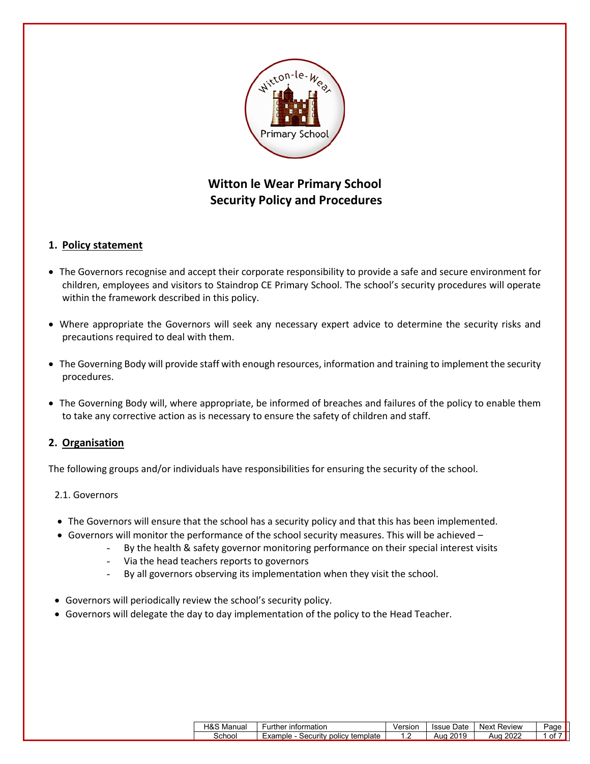

# **Witton le Wear Primary School Security Policy and Procedures**

# **1. Policy statement**

- The Governors recognise and accept their corporate responsibility to provide a safe and secure environment for children, employees and visitors to Staindrop CE Primary School. The school's security procedures will operate within the framework described in this policy.
- Where appropriate the Governors will seek any necessary expert advice to determine the security risks and precautions required to deal with them.
- The Governing Body will provide staff with enough resources, information and training to implement the security procedures.
- The Governing Body will, where appropriate, be informed of breaches and failures of the policy to enable them to take any corrective action as is necessary to ensure the safety of children and staff.

# **2. Organisation**

The following groups and/or individuals have responsibilities for ensuring the security of the school.

## 2.1. Governors

- The Governors will ensure that the school has a security policy and that this has been implemented.
- Governors will monitor the performance of the school security measures. This will be achieved
	- By the health & safety governor monitoring performance on their special interest visits
	- Via the head teachers reports to governors
	- By all governors observing its implementation when they visit the school.
- Governors will periodically review the school's security policy.
- Governors will delegate the day to day implementation of the policy to the Head Teacher.

| 100M<br>H&S Manual | urther information                  | Versior | . Date<br>Issue | Review<br>Next | Page |  |
|--------------------|-------------------------------------|---------|-----------------|----------------|------|--|
| School             | Example<br>Security policy template | . .     | 2019<br>Aua     | 2022<br>Aua    | ot   |  |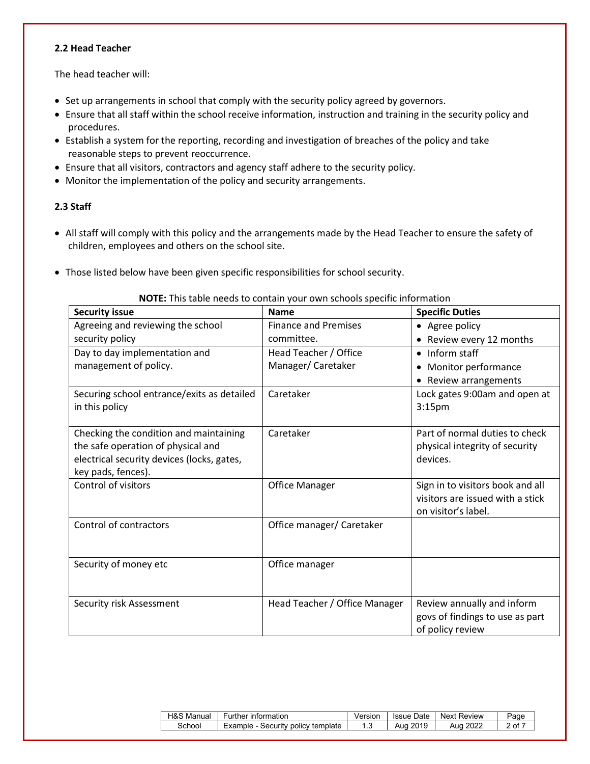#### **2.2 Head Teacher**

The head teacher will:

- Set up arrangements in school that comply with the security policy agreed by governors.
- Ensure that all staff within the school receive information, instruction and training in the security policy and procedures.
- Establish a system for the reporting, recording and investigation of breaches of the policy and take reasonable steps to prevent reoccurrence.
- Ensure that all visitors, contractors and agency staff adhere to the security policy.
- Monitor the implementation of the policy and security arrangements.

## **2.3 Staff**

- All staff will comply with this policy and the arrangements made by the Head Teacher to ensure the safety of children, employees and others on the school site.
- Those listed below have been given specific responsibilities for school security.

| <b>Security issue</b>                      | <b>Name</b>                   | <b>Specific Duties</b>           |
|--------------------------------------------|-------------------------------|----------------------------------|
| Agreeing and reviewing the school          | <b>Finance and Premises</b>   | • Agree policy                   |
| security policy                            | committee.                    | Review every 12 months           |
| Day to day implementation and              | Head Teacher / Office         | Inform staff                     |
| management of policy.                      | Manager/Caretaker             | Monitor performance              |
|                                            |                               | Review arrangements              |
| Securing school entrance/exits as detailed | Caretaker                     | Lock gates 9:00am and open at    |
| in this policy                             |                               | 3:15 <sub>pm</sub>               |
|                                            |                               |                                  |
| Checking the condition and maintaining     | Caretaker                     | Part of normal duties to check   |
| the safe operation of physical and         |                               | physical integrity of security   |
| electrical security devices (locks, gates, |                               | devices.                         |
| key pads, fences).                         |                               |                                  |
| Control of visitors                        | <b>Office Manager</b>         | Sign in to visitors book and all |
|                                            |                               | visitors are issued with a stick |
|                                            |                               | on visitor's label.              |
| Control of contractors                     | Office manager/ Caretaker     |                                  |
|                                            |                               |                                  |
| Security of money etc                      | Office manager                |                                  |
|                                            |                               |                                  |
|                                            |                               |                                  |
| Security risk Assessment                   | Head Teacher / Office Manager | Review annually and inform       |
|                                            |                               | govs of findings to use as part  |
|                                            |                               | of policy review                 |

#### **NOTE:** This table needs to contain your own schools specific information

| ୍ୟ&ଧ<br>Manual | ∵information<br>Further                          | Version | Date<br>Issue | Next<br>Review | Page |
|----------------|--------------------------------------------------|---------|---------------|----------------|------|
| School         | template<br>Example<br><b>DOIICV</b><br>Securitv | ں ا     | 2019<br>Aua   | 2022<br>Aud    | 0t   |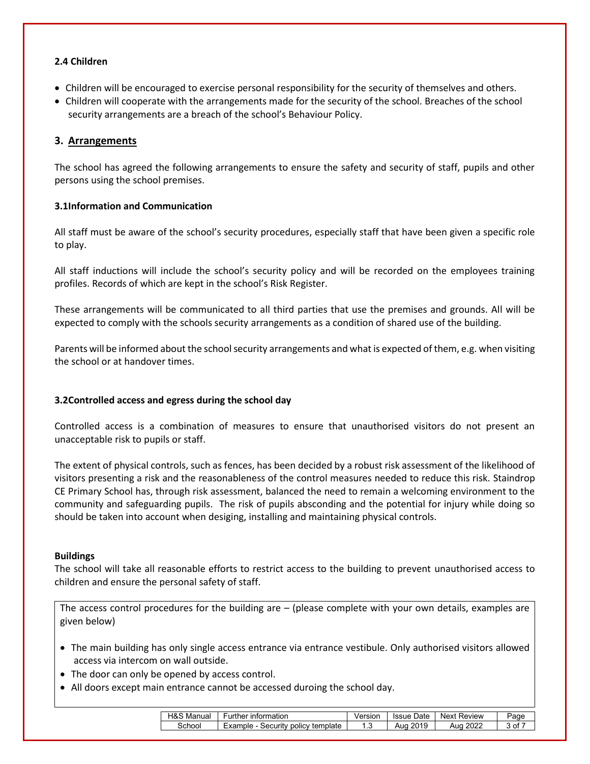## **2.4 Children**

- Children will be encouraged to exercise personal responsibility for the security of themselves and others.
- Children will cooperate with the arrangements made for the security of the school. Breaches of the school security arrangements are a breach of the school's Behaviour Policy.

# **3. Arrangements**

The school has agreed the following arrangements to ensure the safety and security of staff, pupils and other persons using the school premises.

## **3.1Information and Communication**

All staff must be aware of the school's security procedures, especially staff that have been given a specific role to play.

All staff inductions will include the school's security policy and will be recorded on the employees training profiles. Records of which are kept in the school's Risk Register.

These arrangements will be communicated to all third parties that use the premises and grounds. All will be expected to comply with the schools security arrangements as a condition of shared use of the building.

Parents will be informed about the school security arrangements and what is expected of them, e.g. when visiting the school or at handover times.

# **3.2Controlled access and egress during the school day**

Controlled access is a combination of measures to ensure that unauthorised visitors do not present an unacceptable risk to pupils or staff.

The extent of physical controls, such as fences, has been decided by a robust risk assessment of the likelihood of visitors presenting a risk and the reasonableness of the control measures needed to reduce this risk. Staindrop CE Primary School has, through risk assessment, balanced the need to remain a welcoming environment to the community and safeguarding pupils. The risk of pupils absconding and the potential for injury while doing so should be taken into account when desiging, installing and maintaining physical controls.

## **Buildings**

The school will take all reasonable efforts to restrict access to the building to prevent unauthorised access to children and ensure the personal safety of staff.

The access control procedures for the building are  $-$  (please complete with your own details, examples are given below)

- The main building has only single access entrance via entrance vestibule. Only authorised visitors allowed access via intercom on wall outside.
- The door can only be opened by access control.
- All doors except main entrance cannot be accessed duroing the school day.

| H&S<br>Manual | <b>Information</b><br>urther                     | Version | Date<br><b>Issue</b> | . Next "<br>Review | 'age |
|---------------|--------------------------------------------------|---------|----------------------|--------------------|------|
| choo          | template<br>Example<br>Security<br><b>DOIICV</b> | ں ا     | 2019<br>Aua          | Auc<br>ZUZZ        | ال   |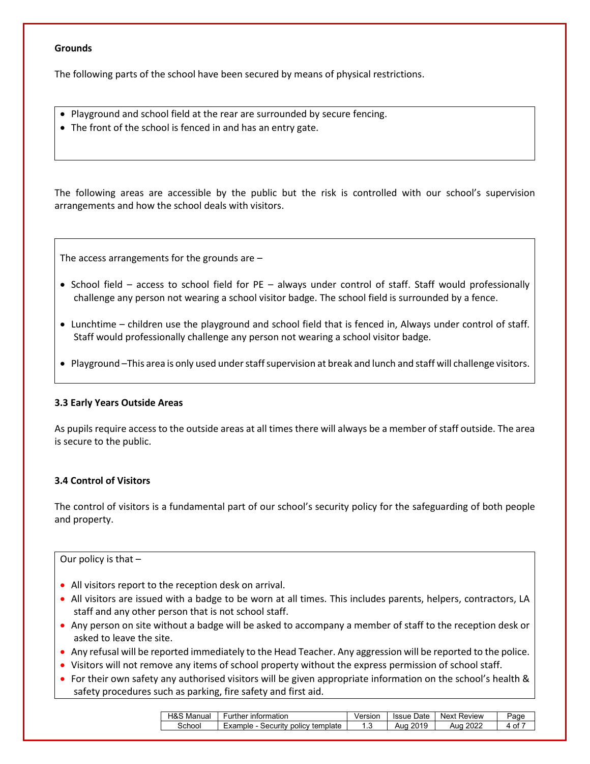#### **Grounds**

The following parts of the school have been secured by means of physical restrictions.

- Playground and school field at the rear are surrounded by secure fencing.
- The front of the school is fenced in and has an entry gate.

The following areas are accessible by the public but the risk is controlled with our school's supervision arrangements and how the school deals with visitors.

The access arrangements for the grounds are –

- School field access to school field for PE always under control of staff. Staff would professionally challenge any person not wearing a school visitor badge. The school field is surrounded by a fence.
- Lunchtime children use the playground and school field that is fenced in, Always under control of staff. Staff would professionally challenge any person not wearing a school visitor badge.
- Playground –This area is only used under staff supervision at break and lunch and staff will challenge visitors.

## **3.3 Early Years Outside Areas**

As pupils require access to the outside areas at all times there will always be a member of staff outside. The area is secure to the public.

## **3.4 Control of Visitors**

The control of visitors is a fundamental part of our school's security policy for the safeguarding of both people and property.

#### Our policy is that –

- All visitors report to the reception desk on arrival.
- All visitors are issued with a badge to be worn at all times. This includes parents, helpers, contractors, LA staff and any other person that is not school staff.
- Any person on site without a badge will be asked to accompany a member of staff to the reception desk or asked to leave the site.
- Any refusal will be reported immediately to the Head Teacher. Any aggression will be reported to the police.
- Visitors will not remove any items of school property without the express permission of school staff.
- For their own safety any authorised visitors will be given appropriate information on the school's health & safety procedures such as parking, fire safety and first aid.

| H&S<br>Manual | <b>Further</b><br>∶ information     | Version | <b>Issue Date</b> | <b>Next Review</b> | Page |
|---------------|-------------------------------------|---------|-------------------|--------------------|------|
| School        | Example<br>Security policy template | . . ب   | 2019<br>Aua       | 2022<br>Aua        | οt   |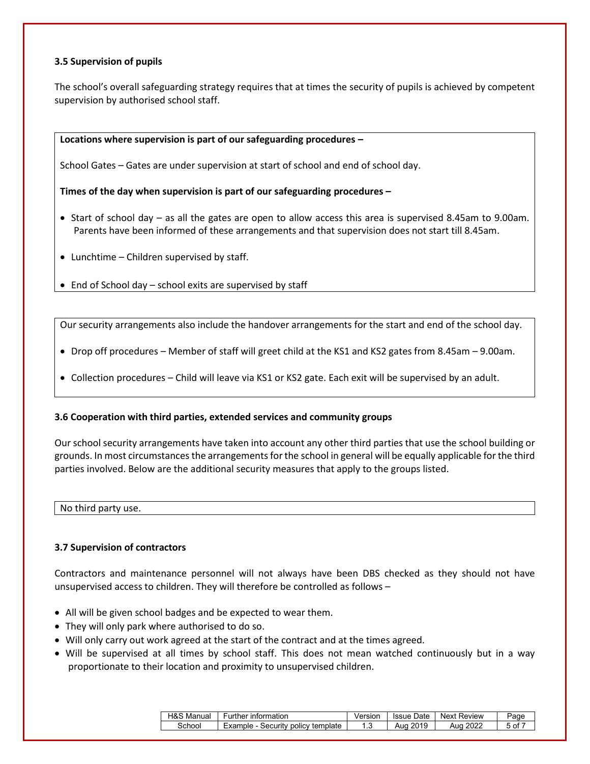## **3.5 Supervision of pupils**

The school's overall safeguarding strategy requires that at times the security of pupils is achieved by competent supervision by authorised school staff.

#### **Locations where supervision is part of our safeguarding procedures –**

School Gates – Gates are under supervision at start of school and end of school day.

## **Times of the day when supervision is part of our safeguarding procedures –**

- Start of school day as all the gates are open to allow access this area is supervised 8.45am to 9.00am. Parents have been informed of these arrangements and that supervision does not start till 8.45am.
- Lunchtime Children supervised by staff.
- End of School day school exits are supervised by staff

Our security arrangements also include the handover arrangements for the start and end of the school day.

- Drop off procedures Member of staff will greet child at the KS1 and KS2 gates from 8.45am 9.00am.
- Collection procedures Child will leave via KS1 or KS2 gate. Each exit will be supervised by an adult.

## **3.6 Cooperation with third parties, extended services and community groups**

Our school security arrangements have taken into account any other third parties that use the school building or grounds. In most circumstances the arrangements for the school in general will be equally applicable for the third parties involved. Below are the additional security measures that apply to the groups listed.

No third party use.

## **3.7 Supervision of contractors**

Contractors and maintenance personnel will not always have been DBS checked as they should not have unsupervised access to children. They will therefore be controlled as follows –

- All will be given school badges and be expected to wear them.
- They will only park where authorised to do so.
- Will only carry out work agreed at the start of the contract and at the times agreed.
- Will be supervised at all times by school staff. This does not mean watched continuously but in a way proportionate to their location and proximity to unsupervised children.

| H&S<br>Manual | ∵ıntormatıon<br>Further                   | √ersior | Date<br>Issue | Next<br>Review           | Page |
|---------------|-------------------------------------------|---------|---------------|--------------------------|------|
| School        | Example<br>template<br>Security<br>policy | . ت     | 2019<br>Aua   | <sup>⊸</sup> 202∠<br>Aua | 5 of |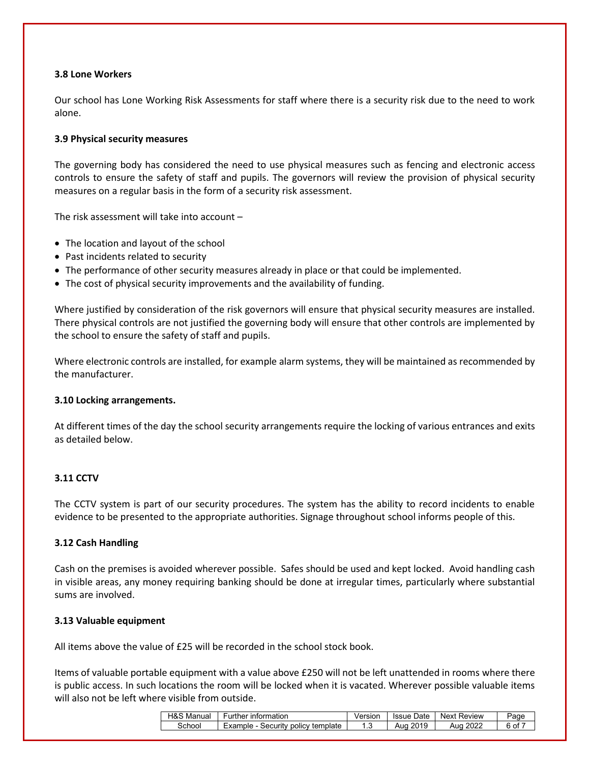## **3.8 Lone Workers**

Our school has Lone Working Risk Assessments for staff where there is a security risk due to the need to work alone.

## **3.9 Physical security measures**

The governing body has considered the need to use physical measures such as fencing and electronic access controls to ensure the safety of staff and pupils. The governors will review the provision of physical security measures on a regular basis in the form of a security risk assessment.

The risk assessment will take into account –

- The location and layout of the school
- Past incidents related to security
- The performance of other security measures already in place or that could be implemented.
- The cost of physical security improvements and the availability of funding.

Where justified by consideration of the risk governors will ensure that physical security measures are installed. There physical controls are not justified the governing body will ensure that other controls are implemented by the school to ensure the safety of staff and pupils.

Where electronic controls are installed, for example alarm systems, they will be maintained as recommended by the manufacturer.

## **3.10 Locking arrangements.**

At different times of the day the school security arrangements require the locking of various entrances and exits as detailed below.

## **3.11 CCTV**

The CCTV system is part of our security procedures. The system has the ability to record incidents to enable evidence to be presented to the appropriate authorities. Signage throughout school informs people of this.

#### **3.12 Cash Handling**

Cash on the premises is avoided wherever possible. Safes should be used and kept locked. Avoid handling cash in visible areas, any money requiring banking should be done at irregular times, particularly where substantial sums are involved.

## **3.13 Valuable equipment**

All items above the value of £25 will be recorded in the school stock book.

Items of valuable portable equipment with a value above £250 will not be left unattended in rooms where there is public access. In such locations the room will be locked when it is vacated. Wherever possible valuable items will also not be left where visible from outside.

| <b>H&amp;S</b><br>Manual | ∶ıntormatıon<br>Further                | Versior | Date<br>Issue | Next F<br>Review | Page |
|--------------------------|----------------------------------------|---------|---------------|------------------|------|
| School                   | policy template<br>Example<br>Security | . ت     | 2019<br>Aua   | Aua              | 6 of |